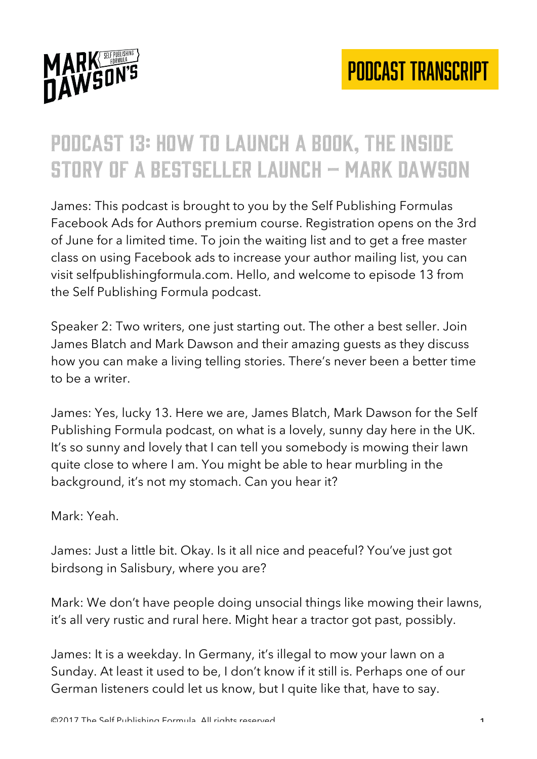

## Podcast 13: how to launch a book, the inside story of a bestseller launch – mark dawson

James: This podcast is brought to you by the Self Publishing Formulas Facebook Ads for Authors premium course. Registration opens on the 3rd of June for a limited time. To join the waiting list and to get a free master class on using Facebook ads to increase your author mailing list, you can visit selfpublishingformula.com. Hello, and welcome to episode 13 from the Self Publishing Formula podcast.

Speaker 2: Two writers, one just starting out. The other a best seller. Join James Blatch and Mark Dawson and their amazing guests as they discuss how you can make a living telling stories. There's never been a better time to be a writer.

James: Yes, lucky 13. Here we are, James Blatch, Mark Dawson for the Self Publishing Formula podcast, on what is a lovely, sunny day here in the UK. It's so sunny and lovely that I can tell you somebody is mowing their lawn quite close to where I am. You might be able to hear murbling in the background, it's not my stomach. Can you hear it?

Mark: Yeah.

James: Just a little bit. Okay. Is it all nice and peaceful? You've just got birdsong in Salisbury, where you are?

Mark: We don't have people doing unsocial things like mowing their lawns, it's all very rustic and rural here. Might hear a tractor got past, possibly.

James: It is a weekday. In Germany, it's illegal to mow your lawn on a Sunday. At least it used to be, I don't know if it still is. Perhaps one of our German listeners could let us know, but I quite like that, have to say.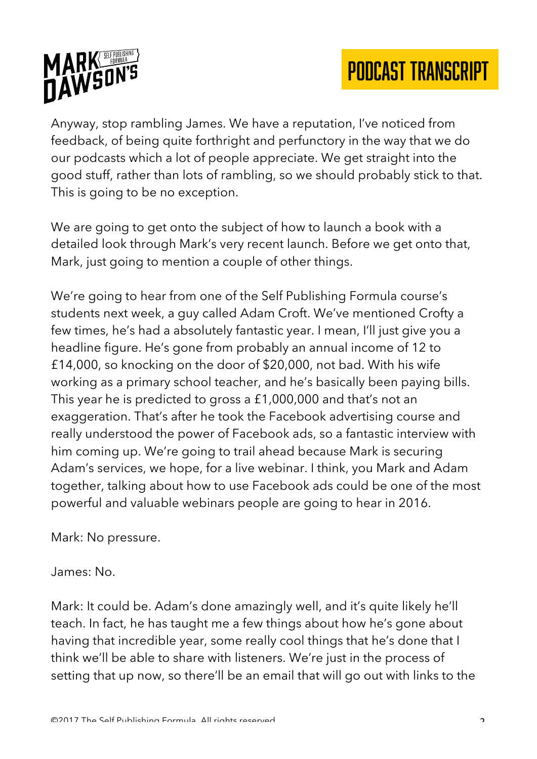

Anyway, stop rambling James. We have a reputation, I've noticed from feedback, of being quite forthright and perfunctory in the way that we do our podcasts which a lot of people appreciate. We get straight into the good stuff, rather than lots of rambling, so we should probably stick to that. This is going to be no exception.

We are going to get onto the subject of how to launch a book with a detailed look through Mark's very recent launch. Before we get onto that, Mark, just going to mention a couple of other things.

We're going to hear from one of the Self Publishing Formula course's students next week, a guy called Adam Croft. We've mentioned Crofty a few times, he's had a absolutely fantastic year. I mean, I'll just give you a headline figure. He's gone from probably an annual income of 12 to £14,000, so knocking on the door of \$20,000, not bad. With his wife working as a primary school teacher, and he's basically been paying bills. This year he is predicted to gross a £1,000,000 and that's not an exaggeration. That's after he took the Facebook advertising course and really understood the power of Facebook ads, so a fantastic interview with him coming up. We're going to trail ahead because Mark is securing Adam's services, we hope, for a live webinar. I think, you Mark and Adam together, talking about how to use Facebook ads could be one of the most powerful and valuable webinars people are going to hear in 2016.

Mark: No pressure.

James: No.

Mark: It could be. Adam's done amazingly well, and it's quite likely he'll teach. In fact, he has taught me a few things about how he's gone about having that incredible year, some really cool things that he's done that I think we'll be able to share with listeners. We're just in the process of setting that up now, so there'll be an email that will go out with links to the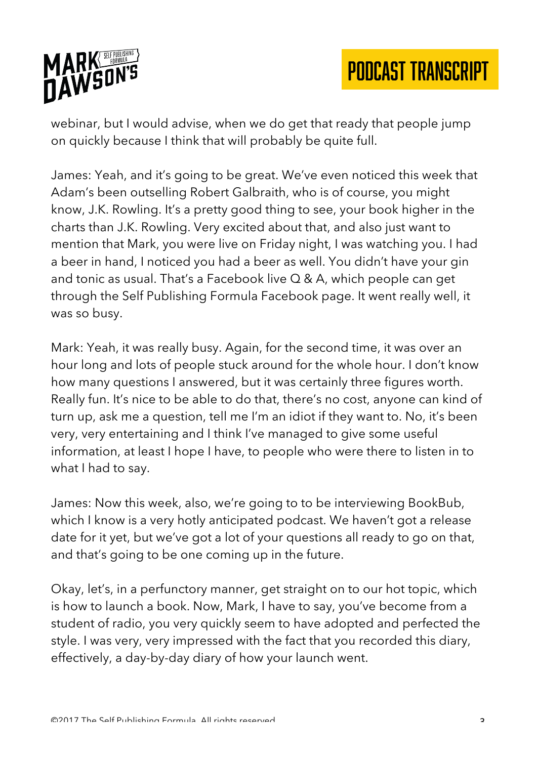

webinar, but I would advise, when we do get that ready that people jump on quickly because I think that will probably be quite full.

James: Yeah, and it's going to be great. We've even noticed this week that Adam's been outselling Robert Galbraith, who is of course, you might know, J.K. Rowling. It's a pretty good thing to see, your book higher in the charts than J.K. Rowling. Very excited about that, and also just want to mention that Mark, you were live on Friday night, I was watching you. I had a beer in hand, I noticed you had a beer as well. You didn't have your gin and tonic as usual. That's a Facebook live Q & A, which people can get through the Self Publishing Formula Facebook page. It went really well, it was so busy.

Mark: Yeah, it was really busy. Again, for the second time, it was over an hour long and lots of people stuck around for the whole hour. I don't know how many questions I answered, but it was certainly three figures worth. Really fun. It's nice to be able to do that, there's no cost, anyone can kind of turn up, ask me a question, tell me I'm an idiot if they want to. No, it's been very, very entertaining and I think I've managed to give some useful information, at least I hope I have, to people who were there to listen in to what I had to say.

James: Now this week, also, we're going to to be interviewing BookBub, which I know is a very hotly anticipated podcast. We haven't got a release date for it yet, but we've got a lot of your questions all ready to go on that, and that's going to be one coming up in the future.

Okay, let's, in a perfunctory manner, get straight on to our hot topic, which is how to launch a book. Now, Mark, I have to say, you've become from a student of radio, you very quickly seem to have adopted and perfected the style. I was very, very impressed with the fact that you recorded this diary, effectively, a day-by-day diary of how your launch went.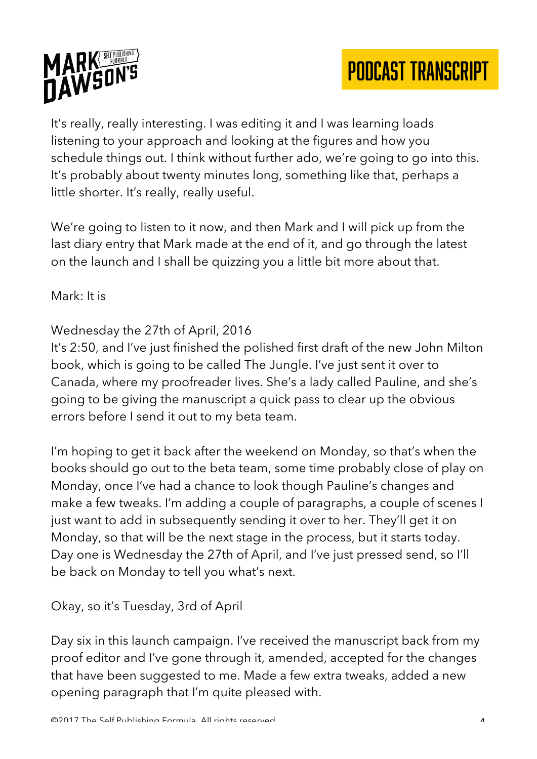



It's really, really interesting. I was editing it and I was learning loads listening to your approach and looking at the figures and how you schedule things out. I think without further ado, we're going to go into this. It's probably about twenty minutes long, something like that, perhaps a little shorter. It's really, really useful.

We're going to listen to it now, and then Mark and I will pick up from the last diary entry that Mark made at the end of it, and go through the latest on the launch and I shall be quizzing you a little bit more about that.

Mark: It is

## Wednesday the 27th of April, 2016

It's 2:50, and I've just finished the polished first draft of the new John Milton book, which is going to be called The Jungle. I've just sent it over to Canada, where my proofreader lives. She's a lady called Pauline, and she's going to be giving the manuscript a quick pass to clear up the obvious errors before I send it out to my beta team.

I'm hoping to get it back after the weekend on Monday, so that's when the books should go out to the beta team, some time probably close of play on Monday, once I've had a chance to look though Pauline's changes and make a few tweaks. I'm adding a couple of paragraphs, a couple of scenes I just want to add in subsequently sending it over to her. They'll get it on Monday, so that will be the next stage in the process, but it starts today. Day one is Wednesday the 27th of April, and I've just pressed send, so I'll be back on Monday to tell you what's next.

Okay, so it's Tuesday, 3rd of April

Day six in this launch campaign. I've received the manuscript back from my proof editor and I've gone through it, amended, accepted for the changes that have been suggested to me. Made a few extra tweaks, added a new opening paragraph that I'm quite pleased with.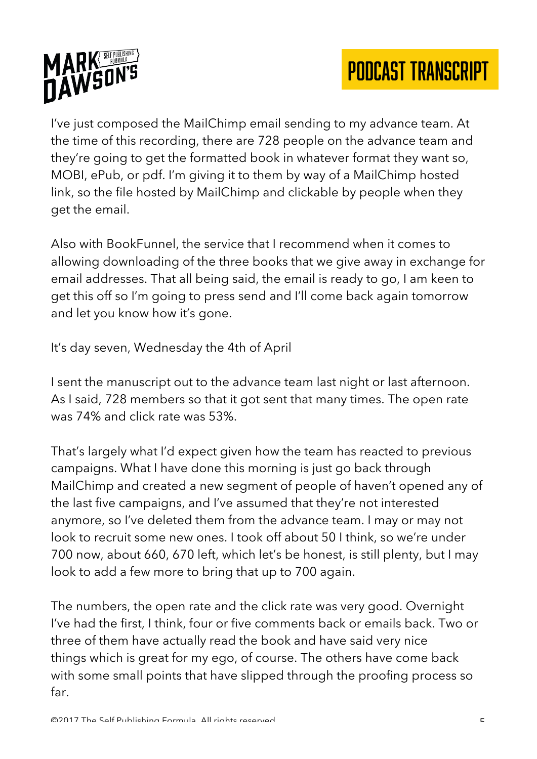

I've just composed the MailChimp email sending to my advance team. At the time of this recording, there are 728 people on the advance team and they're going to get the formatted book in whatever format they want so, MOBI, ePub, or pdf. I'm giving it to them by way of a MailChimp hosted link, so the file hosted by MailChimp and clickable by people when they get the email.

Also with BookFunnel, the service that I recommend when it comes to allowing downloading of the three books that we give away in exchange for email addresses. That all being said, the email is ready to go, I am keen to get this off so I'm going to press send and I'll come back again tomorrow and let you know how it's gone.

It's day seven, Wednesday the 4th of April

I sent the manuscript out to the advance team last night or last afternoon. As I said, 728 members so that it got sent that many times. The open rate was 74% and click rate was 53%.

That's largely what I'd expect given how the team has reacted to previous campaigns. What I have done this morning is just go back through MailChimp and created a new segment of people of haven't opened any of the last five campaigns, and I've assumed that they're not interested anymore, so I've deleted them from the advance team. I may or may not look to recruit some new ones. I took off about 50 I think, so we're under 700 now, about 660, 670 left, which let's be honest, is still plenty, but I may look to add a few more to bring that up to 700 again.

The numbers, the open rate and the click rate was very good. Overnight I've had the first, I think, four or five comments back or emails back. Two or three of them have actually read the book and have said very nice things which is great for my ego, of course. The others have come back with some small points that have slipped through the proofing process so far.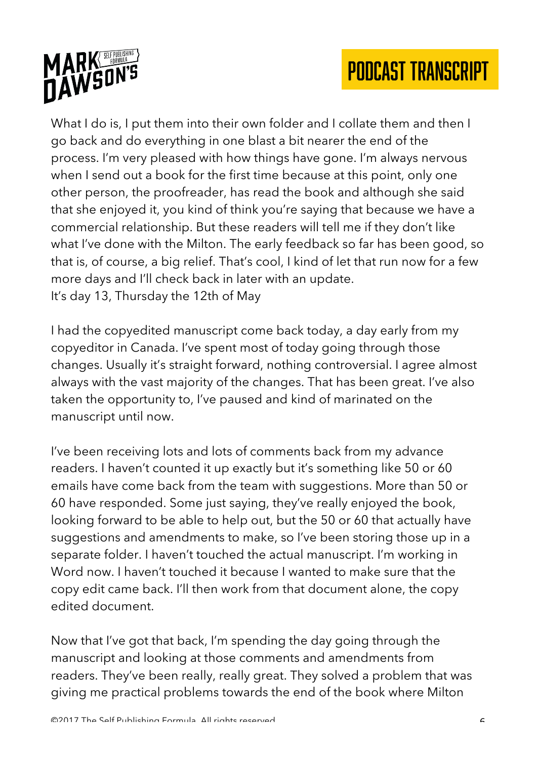



What I do is, I put them into their own folder and I collate them and then I go back and do everything in one blast a bit nearer the end of the process. I'm very pleased with how things have gone. I'm always nervous when I send out a book for the first time because at this point, only one other person, the proofreader, has read the book and although she said that she enjoyed it, you kind of think you're saying that because we have a commercial relationship. But these readers will tell me if they don't like what I've done with the Milton. The early feedback so far has been good, so that is, of course, a big relief. That's cool, I kind of let that run now for a few more days and I'll check back in later with an update. It's day 13, Thursday the 12th of May

I had the copyedited manuscript come back today, a day early from my copyeditor in Canada. I've spent most of today going through those changes. Usually it's straight forward, nothing controversial. I agree almost always with the vast majority of the changes. That has been great. I've also taken the opportunity to, I've paused and kind of marinated on the manuscript until now.

I've been receiving lots and lots of comments back from my advance readers. I haven't counted it up exactly but it's something like 50 or 60 emails have come back from the team with suggestions. More than 50 or 60 have responded. Some just saying, they've really enjoyed the book, looking forward to be able to help out, but the 50 or 60 that actually have suggestions and amendments to make, so I've been storing those up in a separate folder. I haven't touched the actual manuscript. I'm working in Word now. I haven't touched it because I wanted to make sure that the copy edit came back. I'll then work from that document alone, the copy edited document.

Now that I've got that back, I'm spending the day going through the manuscript and looking at those comments and amendments from readers. They've been really, really great. They solved a problem that was giving me practical problems towards the end of the book where Milton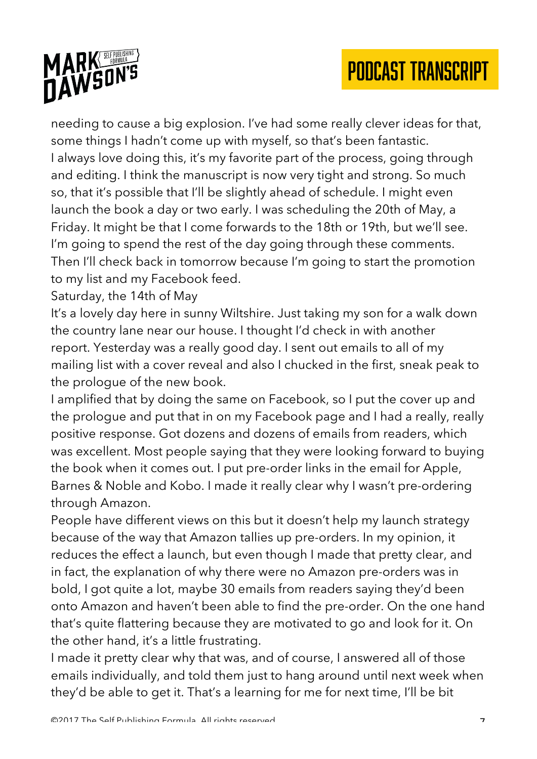

needing to cause a big explosion. I've had some really clever ideas for that, some things I hadn't come up with myself, so that's been fantastic. I always love doing this, it's my favorite part of the process, going through and editing. I think the manuscript is now very tight and strong. So much so, that it's possible that I'll be slightly ahead of schedule. I might even launch the book a day or two early. I was scheduling the 20th of May, a Friday. It might be that I come forwards to the 18th or 19th, but we'll see. I'm going to spend the rest of the day going through these comments. Then I'll check back in tomorrow because I'm going to start the promotion to my list and my Facebook feed.

Saturday, the 14th of May

It's a lovely day here in sunny Wiltshire. Just taking my son for a walk down the country lane near our house. I thought I'd check in with another report. Yesterday was a really good day. I sent out emails to all of my mailing list with a cover reveal and also I chucked in the first, sneak peak to the prologue of the new book.

I amplified that by doing the same on Facebook, so I put the cover up and the prologue and put that in on my Facebook page and I had a really, really positive response. Got dozens and dozens of emails from readers, which was excellent. Most people saying that they were looking forward to buying the book when it comes out. I put pre-order links in the email for Apple, Barnes & Noble and Kobo. I made it really clear why I wasn't pre-ordering through Amazon.

People have different views on this but it doesn't help my launch strategy because of the way that Amazon tallies up pre-orders. In my opinion, it reduces the effect a launch, but even though I made that pretty clear, and in fact, the explanation of why there were no Amazon pre-orders was in bold, I got quite a lot, maybe 30 emails from readers saying they'd been onto Amazon and haven't been able to find the pre-order. On the one hand that's quite flattering because they are motivated to go and look for it. On the other hand, it's a little frustrating.

I made it pretty clear why that was, and of course, I answered all of those emails individually, and told them just to hang around until next week when they'd be able to get it. That's a learning for me for next time, I'll be bit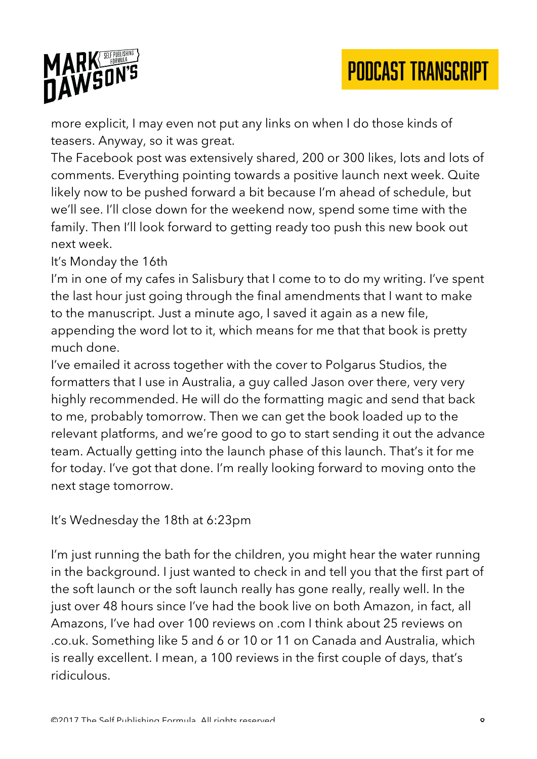



more explicit, I may even not put any links on when I do those kinds of teasers. Anyway, so it was great.

The Facebook post was extensively shared, 200 or 300 likes, lots and lots of comments. Everything pointing towards a positive launch next week. Quite likely now to be pushed forward a bit because I'm ahead of schedule, but we'll see. I'll close down for the weekend now, spend some time with the family. Then I'll look forward to getting ready too push this new book out next week.

It's Monday the 16th

I'm in one of my cafes in Salisbury that I come to to do my writing. I've spent the last hour just going through the final amendments that I want to make to the manuscript. Just a minute ago, I saved it again as a new file, appending the word lot to it, which means for me that that book is pretty much done.

I've emailed it across together with the cover to Polgarus Studios, the formatters that I use in Australia, a guy called Jason over there, very very highly recommended. He will do the formatting magic and send that back to me, probably tomorrow. Then we can get the book loaded up to the relevant platforms, and we're good to go to start sending it out the advance team. Actually getting into the launch phase of this launch. That's it for me for today. I've got that done. I'm really looking forward to moving onto the next stage tomorrow.

It's Wednesday the 18th at 6:23pm

I'm just running the bath for the children, you might hear the water running in the background. I just wanted to check in and tell you that the first part of the soft launch or the soft launch really has gone really, really well. In the just over 48 hours since I've had the book live on both Amazon, in fact, all Amazons, I've had over 100 reviews on .com I think about 25 reviews on .co.uk. Something like 5 and 6 or 10 or 11 on Canada and Australia, which is really excellent. I mean, a 100 reviews in the first couple of days, that's ridiculous.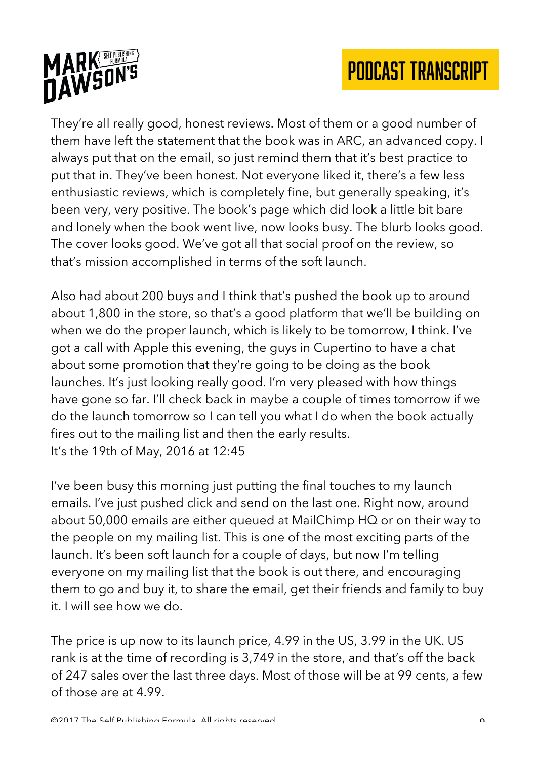



They're all really good, honest reviews. Most of them or a good number of them have left the statement that the book was in ARC, an advanced copy. I always put that on the email, so just remind them that it's best practice to put that in. They've been honest. Not everyone liked it, there's a few less enthusiastic reviews, which is completely fine, but generally speaking, it's been very, very positive. The book's page which did look a little bit bare and lonely when the book went live, now looks busy. The blurb looks good. The cover looks good. We've got all that social proof on the review, so that's mission accomplished in terms of the soft launch.

Also had about 200 buys and I think that's pushed the book up to around about 1,800 in the store, so that's a good platform that we'll be building on when we do the proper launch, which is likely to be tomorrow, I think. I've got a call with Apple this evening, the guys in Cupertino to have a chat about some promotion that they're going to be doing as the book launches. It's just looking really good. I'm very pleased with how things have gone so far. I'll check back in maybe a couple of times tomorrow if we do the launch tomorrow so I can tell you what I do when the book actually fires out to the mailing list and then the early results. It's the 19th of May, 2016 at 12:45

I've been busy this morning just putting the final touches to my launch emails. I've just pushed click and send on the last one. Right now, around about 50,000 emails are either queued at MailChimp HQ or on their way to the people on my mailing list. This is one of the most exciting parts of the launch. It's been soft launch for a couple of days, but now I'm telling everyone on my mailing list that the book is out there, and encouraging them to go and buy it, to share the email, get their friends and family to buy it. I will see how we do.

The price is up now to its launch price, 4.99 in the US, 3.99 in the UK. US rank is at the time of recording is 3,749 in the store, and that's off the back of 247 sales over the last three days. Most of those will be at 99 cents, a few of those are at 4.99.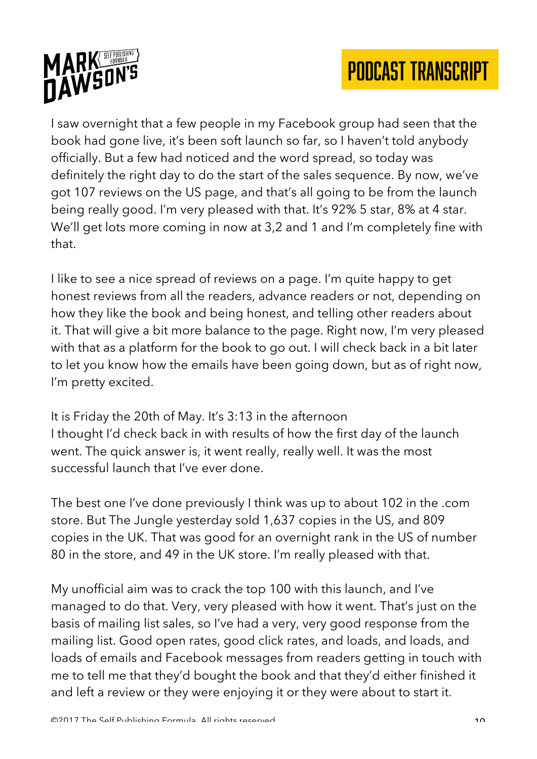



I saw overnight that a few people in my Facebook group had seen that the book had gone live, it's been soft launch so far, so I haven't told anybody officially. But a few had noticed and the word spread, so today was definitely the right day to do the start of the sales sequence. By now, we've got 107 reviews on the US page, and that's all going to be from the launch being really good. I'm very pleased with that. It's 92% 5 star, 8% at 4 star. We'll get lots more coming in now at 3,2 and 1 and I'm completely fine with that.

I like to see a nice spread of reviews on a page. I'm quite happy to get honest reviews from all the readers, advance readers or not, depending on how they like the book and being honest, and telling other readers about it. That will give a bit more balance to the page. Right now, I'm very pleased with that as a platform for the book to go out. I will check back in a bit later to let you know how the emails have been going down, but as of right now, I'm pretty excited.

It is Friday the 20th of May. It's 3:13 in the afternoon I thought I'd check back in with results of how the first day of the launch went. The quick answer is, it went really, really well. It was the most successful launch that I've ever done.

The best one I've done previously I think was up to about 102 in the .com store. But The Jungle yesterday sold 1,637 copies in the US, and 809 copies in the UK. That was good for an overnight rank in the US of number 80 in the store, and 49 in the UK store. I'm really pleased with that.

My unofficial aim was to crack the top 100 with this launch, and I've managed to do that. Very, very pleased with how it went. That's just on the basis of mailing list sales, so I've had a very, very good response from the mailing list. Good open rates, good click rates, and loads, and loads, and loads of emails and Facebook messages from readers getting in touch with me to tell me that they'd bought the book and that they'd either finished it and left a review or they were enjoying it or they were about to start it.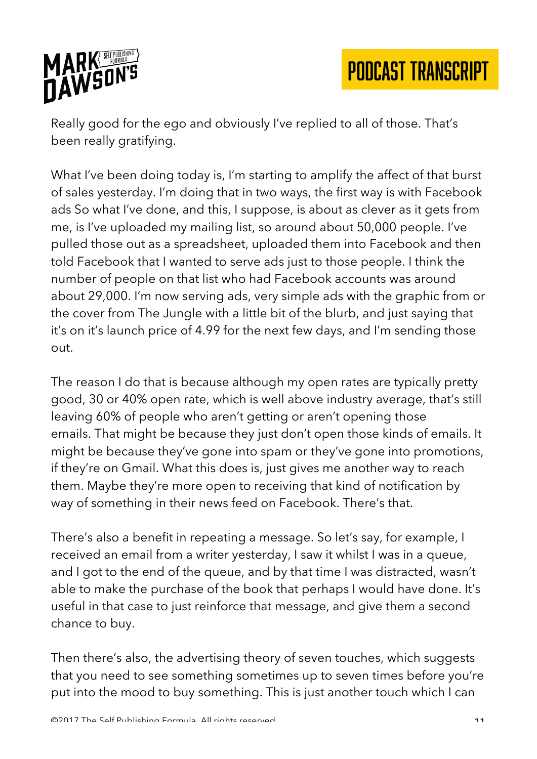

Really good for the ego and obviously I've replied to all of those. That's been really gratifying.

What I've been doing today is, I'm starting to amplify the affect of that burst of sales yesterday. I'm doing that in two ways, the first way is with Facebook ads So what I've done, and this, I suppose, is about as clever as it gets from me, is I've uploaded my mailing list, so around about 50,000 people. I've pulled those out as a spreadsheet, uploaded them into Facebook and then told Facebook that I wanted to serve ads just to those people. I think the number of people on that list who had Facebook accounts was around about 29,000. I'm now serving ads, very simple ads with the graphic from or the cover from The Jungle with a little bit of the blurb, and just saying that it's on it's launch price of 4.99 for the next few days, and I'm sending those out.

The reason I do that is because although my open rates are typically pretty good, 30 or 40% open rate, which is well above industry average, that's still leaving 60% of people who aren't getting or aren't opening those emails. That might be because they just don't open those kinds of emails. It might be because they've gone into spam or they've gone into promotions, if they're on Gmail. What this does is, just gives me another way to reach them. Maybe they're more open to receiving that kind of notification by way of something in their news feed on Facebook. There's that.

There's also a benefit in repeating a message. So let's say, for example, I received an email from a writer yesterday, I saw it whilst I was in a queue, and I got to the end of the queue, and by that time I was distracted, wasn't able to make the purchase of the book that perhaps I would have done. It's useful in that case to just reinforce that message, and give them a second chance to buy.

Then there's also, the advertising theory of seven touches, which suggests that you need to see something sometimes up to seven times before you're put into the mood to buy something. This is just another touch which I can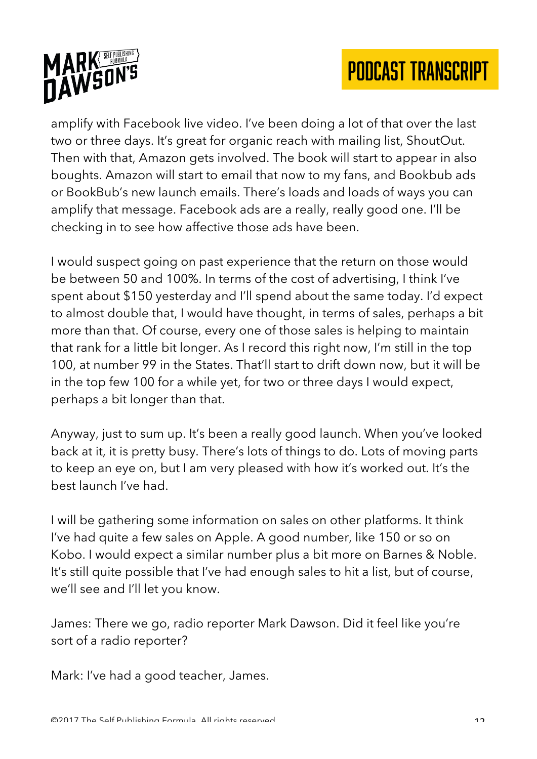



amplify with Facebook live video. I've been doing a lot of that over the last two or three days. It's great for organic reach with mailing list, ShoutOut. Then with that, Amazon gets involved. The book will start to appear in also boughts. Amazon will start to email that now to my fans, and Bookbub ads or BookBub's new launch emails. There's loads and loads of ways you can amplify that message. Facebook ads are a really, really good one. I'll be checking in to see how affective those ads have been.

I would suspect going on past experience that the return on those would be between 50 and 100%. In terms of the cost of advertising, I think I've spent about \$150 yesterday and I'll spend about the same today. I'd expect to almost double that, I would have thought, in terms of sales, perhaps a bit more than that. Of course, every one of those sales is helping to maintain that rank for a little bit longer. As I record this right now, I'm still in the top 100, at number 99 in the States. That'll start to drift down now, but it will be in the top few 100 for a while yet, for two or three days I would expect, perhaps a bit longer than that.

Anyway, just to sum up. It's been a really good launch. When you've looked back at it, it is pretty busy. There's lots of things to do. Lots of moving parts to keep an eye on, but I am very pleased with how it's worked out. It's the best launch I've had.

I will be gathering some information on sales on other platforms. It think I've had quite a few sales on Apple. A good number, like 150 or so on Kobo. I would expect a similar number plus a bit more on Barnes & Noble. It's still quite possible that I've had enough sales to hit a list, but of course, we'll see and I'll let you know.

James: There we go, radio reporter Mark Dawson. Did it feel like you're sort of a radio reporter?

Mark: I've had a good teacher, James.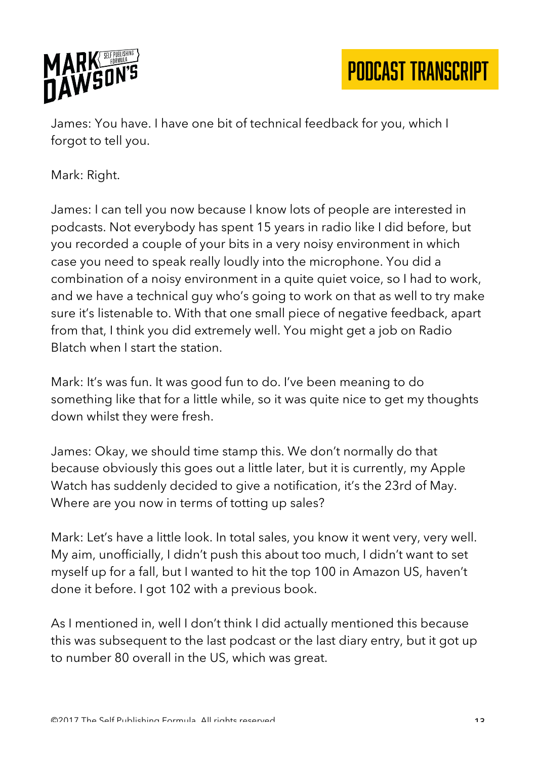

James: You have. I have one bit of technical feedback for you, which I forgot to tell you.

Mark: Right.

James: I can tell you now because I know lots of people are interested in podcasts. Not everybody has spent 15 years in radio like I did before, but you recorded a couple of your bits in a very noisy environment in which case you need to speak really loudly into the microphone. You did a combination of a noisy environment in a quite quiet voice, so I had to work, and we have a technical guy who's going to work on that as well to try make sure it's listenable to. With that one small piece of negative feedback, apart from that, I think you did extremely well. You might get a job on Radio Blatch when I start the station.

Mark: It's was fun. It was good fun to do. I've been meaning to do something like that for a little while, so it was quite nice to get my thoughts down whilst they were fresh.

James: Okay, we should time stamp this. We don't normally do that because obviously this goes out a little later, but it is currently, my Apple Watch has suddenly decided to give a notification, it's the 23rd of May. Where are you now in terms of totting up sales?

Mark: Let's have a little look. In total sales, you know it went very, very well. My aim, unofficially, I didn't push this about too much, I didn't want to set myself up for a fall, but I wanted to hit the top 100 in Amazon US, haven't done it before. I got 102 with a previous book.

As I mentioned in, well I don't think I did actually mentioned this because this was subsequent to the last podcast or the last diary entry, but it got up to number 80 overall in the US, which was great.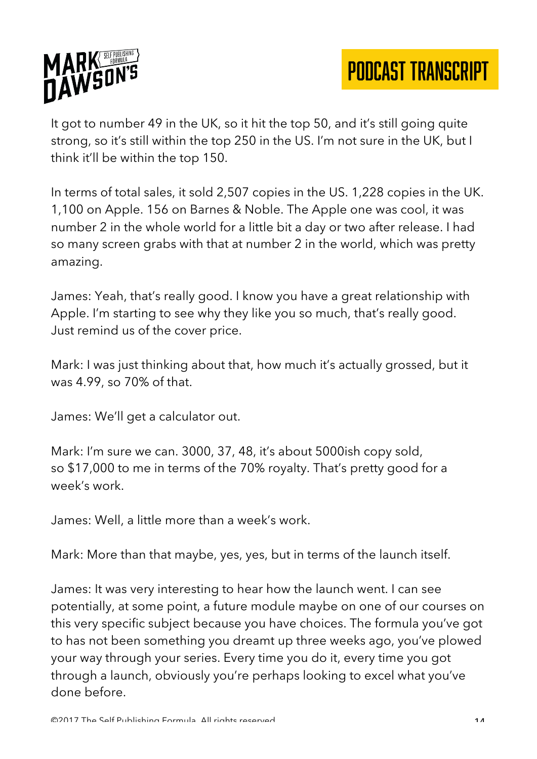

It got to number 49 in the UK, so it hit the top 50, and it's still going quite strong, so it's still within the top 250 in the US. I'm not sure in the UK, but I think it'll be within the top 150.

In terms of total sales, it sold 2,507 copies in the US. 1,228 copies in the UK. 1,100 on Apple. 156 on Barnes & Noble. The Apple one was cool, it was number 2 in the whole world for a little bit a day or two after release. I had so many screen grabs with that at number 2 in the world, which was pretty amazing.

James: Yeah, that's really good. I know you have a great relationship with Apple. I'm starting to see why they like you so much, that's really good. Just remind us of the cover price.

Mark: I was just thinking about that, how much it's actually grossed, but it was 4.99, so 70% of that.

James: We'll get a calculator out.

Mark: I'm sure we can. 3000, 37, 48, it's about 5000ish copy sold, so \$17,000 to me in terms of the 70% royalty. That's pretty good for a week's work.

James: Well, a little more than a week's work.

Mark: More than that maybe, yes, yes, but in terms of the launch itself.

James: It was very interesting to hear how the launch went. I can see potentially, at some point, a future module maybe on one of our courses on this very specific subject because you have choices. The formula you've got to has not been something you dreamt up three weeks ago, you've plowed your way through your series. Every time you do it, every time you got through a launch, obviously you're perhaps looking to excel what you've done before.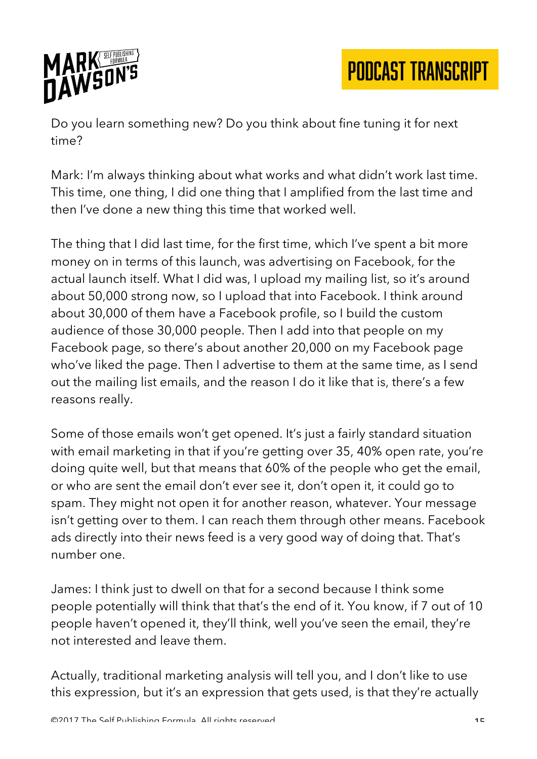

Do you learn something new? Do you think about fine tuning it for next time?

Mark: I'm always thinking about what works and what didn't work last time. This time, one thing, I did one thing that I amplified from the last time and then I've done a new thing this time that worked well.

The thing that I did last time, for the first time, which I've spent a bit more money on in terms of this launch, was advertising on Facebook, for the actual launch itself. What I did was, I upload my mailing list, so it's around about 50,000 strong now, so I upload that into Facebook. I think around about 30,000 of them have a Facebook profile, so I build the custom audience of those 30,000 people. Then I add into that people on my Facebook page, so there's about another 20,000 on my Facebook page who've liked the page. Then I advertise to them at the same time, as I send out the mailing list emails, and the reason I do it like that is, there's a few reasons really.

Some of those emails won't get opened. It's just a fairly standard situation with email marketing in that if you're getting over 35, 40% open rate, you're doing quite well, but that means that 60% of the people who get the email, or who are sent the email don't ever see it, don't open it, it could go to spam. They might not open it for another reason, whatever. Your message isn't getting over to them. I can reach them through other means. Facebook ads directly into their news feed is a very good way of doing that. That's number one.

James: I think just to dwell on that for a second because I think some people potentially will think that that's the end of it. You know, if 7 out of 10 people haven't opened it, they'll think, well you've seen the email, they're not interested and leave them.

Actually, traditional marketing analysis will tell you, and I don't like to use this expression, but it's an expression that gets used, is that they're actually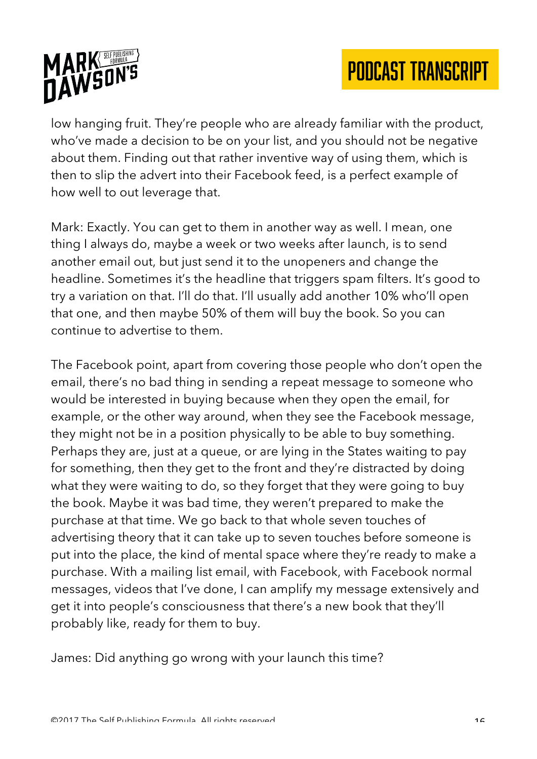

low hanging fruit. They're people who are already familiar with the product, who've made a decision to be on your list, and you should not be negative about them. Finding out that rather inventive way of using them, which is then to slip the advert into their Facebook feed, is a perfect example of how well to out leverage that.

Mark: Exactly. You can get to them in another way as well. I mean, one thing I always do, maybe a week or two weeks after launch, is to send another email out, but just send it to the unopeners and change the headline. Sometimes it's the headline that triggers spam filters. It's good to try a variation on that. I'll do that. I'll usually add another 10% who'll open that one, and then maybe 50% of them will buy the book. So you can continue to advertise to them.

The Facebook point, apart from covering those people who don't open the email, there's no bad thing in sending a repeat message to someone who would be interested in buying because when they open the email, for example, or the other way around, when they see the Facebook message, they might not be in a position physically to be able to buy something. Perhaps they are, just at a queue, or are lying in the States waiting to pay for something, then they get to the front and they're distracted by doing what they were waiting to do, so they forget that they were going to buy the book. Maybe it was bad time, they weren't prepared to make the purchase at that time. We go back to that whole seven touches of advertising theory that it can take up to seven touches before someone is put into the place, the kind of mental space where they're ready to make a purchase. With a mailing list email, with Facebook, with Facebook normal messages, videos that I've done, I can amplify my message extensively and get it into people's consciousness that there's a new book that they'll probably like, ready for them to buy.

James: Did anything go wrong with your launch this time?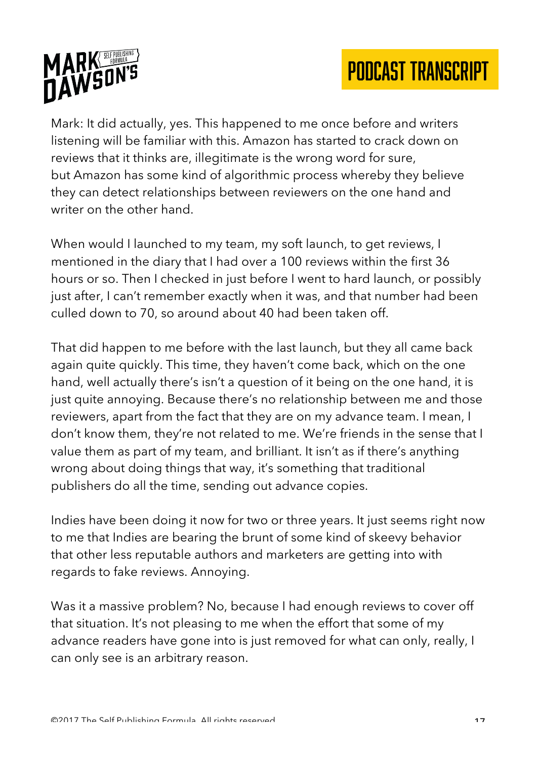



Mark: It did actually, yes. This happened to me once before and writers listening will be familiar with this. Amazon has started to crack down on reviews that it thinks are, illegitimate is the wrong word for sure, but Amazon has some kind of algorithmic process whereby they believe they can detect relationships between reviewers on the one hand and writer on the other hand.

When would I launched to my team, my soft launch, to get reviews, I mentioned in the diary that I had over a 100 reviews within the first 36 hours or so. Then I checked in just before I went to hard launch, or possibly just after, I can't remember exactly when it was, and that number had been culled down to 70, so around about 40 had been taken off.

That did happen to me before with the last launch, but they all came back again quite quickly. This time, they haven't come back, which on the one hand, well actually there's isn't a question of it being on the one hand, it is just quite annoying. Because there's no relationship between me and those reviewers, apart from the fact that they are on my advance team. I mean, I don't know them, they're not related to me. We're friends in the sense that I value them as part of my team, and brilliant. It isn't as if there's anything wrong about doing things that way, it's something that traditional publishers do all the time, sending out advance copies.

Indies have been doing it now for two or three years. It just seems right now to me that Indies are bearing the brunt of some kind of skeevy behavior that other less reputable authors and marketers are getting into with regards to fake reviews. Annoying.

Was it a massive problem? No, because I had enough reviews to cover off that situation. It's not pleasing to me when the effort that some of my advance readers have gone into is just removed for what can only, really, I can only see is an arbitrary reason.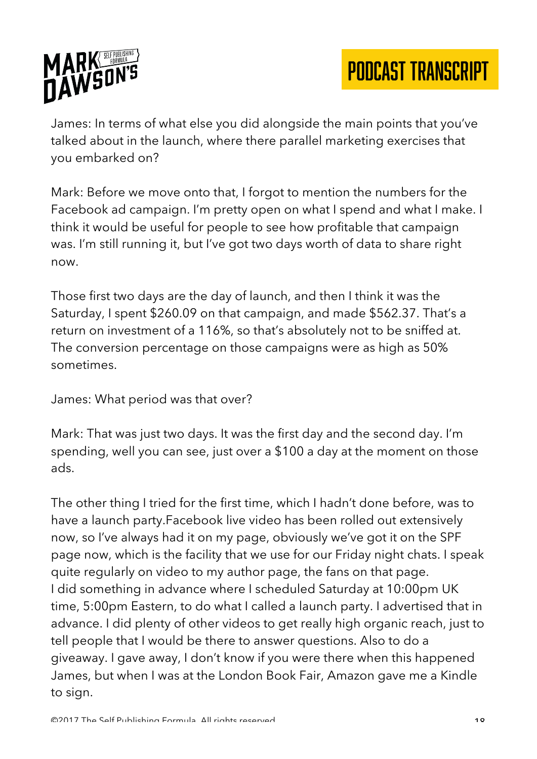

James: In terms of what else you did alongside the main points that you've talked about in the launch, where there parallel marketing exercises that you embarked on?

Mark: Before we move onto that, I forgot to mention the numbers for the Facebook ad campaign. I'm pretty open on what I spend and what I make. I think it would be useful for people to see how profitable that campaign was. I'm still running it, but I've got two days worth of data to share right now.

Those first two days are the day of launch, and then I think it was the Saturday, I spent \$260.09 on that campaign, and made \$562.37. That's a return on investment of a 116%, so that's absolutely not to be sniffed at. The conversion percentage on those campaigns were as high as 50% sometimes.

James: What period was that over?

Mark: That was just two days. It was the first day and the second day. I'm spending, well you can see, just over a \$100 a day at the moment on those ads.

The other thing I tried for the first time, which I hadn't done before, was to have a launch party.Facebook live video has been rolled out extensively now, so I've always had it on my page, obviously we've got it on the SPF page now, which is the facility that we use for our Friday night chats. I speak quite regularly on video to my author page, the fans on that page. I did something in advance where I scheduled Saturday at 10:00pm UK time, 5:00pm Eastern, to do what I called a launch party. I advertised that in advance. I did plenty of other videos to get really high organic reach, just to tell people that I would be there to answer questions. Also to do a giveaway. I gave away, I don't know if you were there when this happened James, but when I was at the London Book Fair, Amazon gave me a Kindle to sign.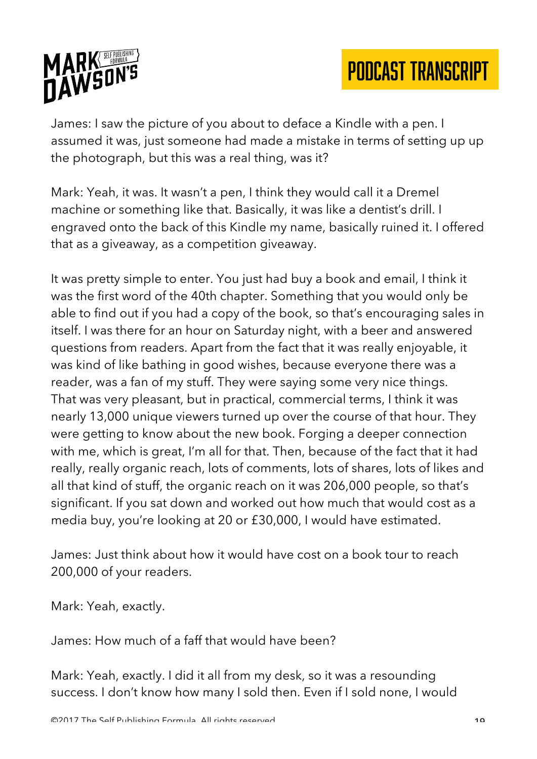

James: I saw the picture of you about to deface a Kindle with a pen. I assumed it was, just someone had made a mistake in terms of setting up up the photograph, but this was a real thing, was it?

Mark: Yeah, it was. It wasn't a pen, I think they would call it a Dremel machine or something like that. Basically, it was like a dentist's drill. I engraved onto the back of this Kindle my name, basically ruined it. I offered that as a giveaway, as a competition giveaway.

It was pretty simple to enter. You just had buy a book and email, I think it was the first word of the 40th chapter. Something that you would only be able to find out if you had a copy of the book, so that's encouraging sales in itself. I was there for an hour on Saturday night, with a beer and answered questions from readers. Apart from the fact that it was really enjoyable, it was kind of like bathing in good wishes, because everyone there was a reader, was a fan of my stuff. They were saying some very nice things. That was very pleasant, but in practical, commercial terms, I think it was nearly 13,000 unique viewers turned up over the course of that hour. They were getting to know about the new book. Forging a deeper connection with me, which is great, I'm all for that. Then, because of the fact that it had really, really organic reach, lots of comments, lots of shares, lots of likes and all that kind of stuff, the organic reach on it was 206,000 people, so that's significant. If you sat down and worked out how much that would cost as a media buy, you're looking at 20 or £30,000, I would have estimated.

James: Just think about how it would have cost on a book tour to reach 200,000 of your readers.

Mark: Yeah, exactly.

James: How much of a faff that would have been?

Mark: Yeah, exactly. I did it all from my desk, so it was a resounding success. I don't know how many I sold then. Even if I sold none, I would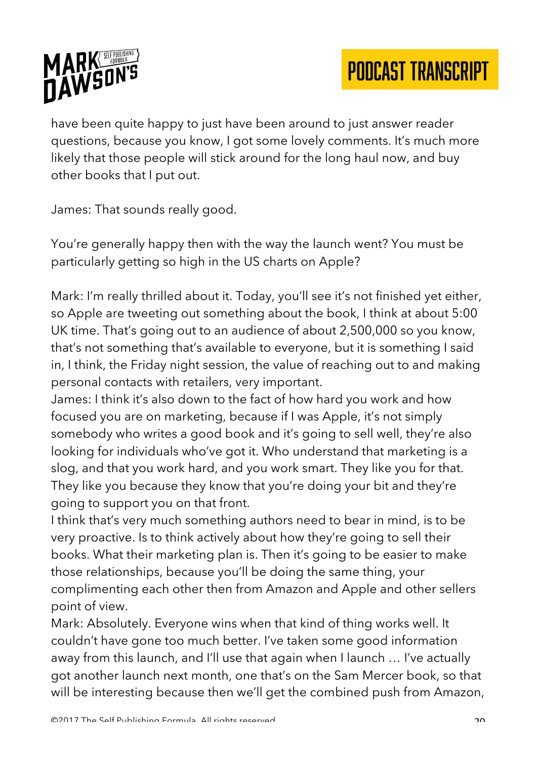

have been quite happy to just have been around to just answer reader questions, because you know, I got some lovely comments. It's much more likely that those people will stick around for the long haul now, and buy other books that I put out.

James: That sounds really good.

You're generally happy then with the way the launch went? You must be particularly getting so high in the US charts on Apple?

Mark: I'm really thrilled about it. Today, you'll see it's not finished yet either, so Apple are tweeting out something about the book, I think at about 5:00 UK time. That's going out to an audience of about 2,500,000 so you know, that's not something that's available to everyone, but it is something I said in, I think, the Friday night session, the value of reaching out to and making personal contacts with retailers, very important.

James: I think it's also down to the fact of how hard you work and how focused you are on marketing, because if I was Apple, it's not simply somebody who writes a good book and it's going to sell well, they're also looking for individuals who've got it. Who understand that marketing is a slog, and that you work hard, and you work smart. They like you for that. They like you because they know that you're doing your bit and they're going to support you on that front.

I think that's very much something authors need to bear in mind, is to be very proactive. Is to think actively about how they're going to sell their books. What their marketing plan is. Then it's going to be easier to make those relationships, because you'll be doing the same thing, your complimenting each other then from Amazon and Apple and other sellers point of view.

Mark: Absolutely. Everyone wins when that kind of thing works well. It couldn't have gone too much better. I've taken some good information away from this launch, and I'll use that again when I launch … I've actually got another launch next month, one that's on the Sam Mercer book, so that will be interesting because then we'll get the combined push from Amazon,